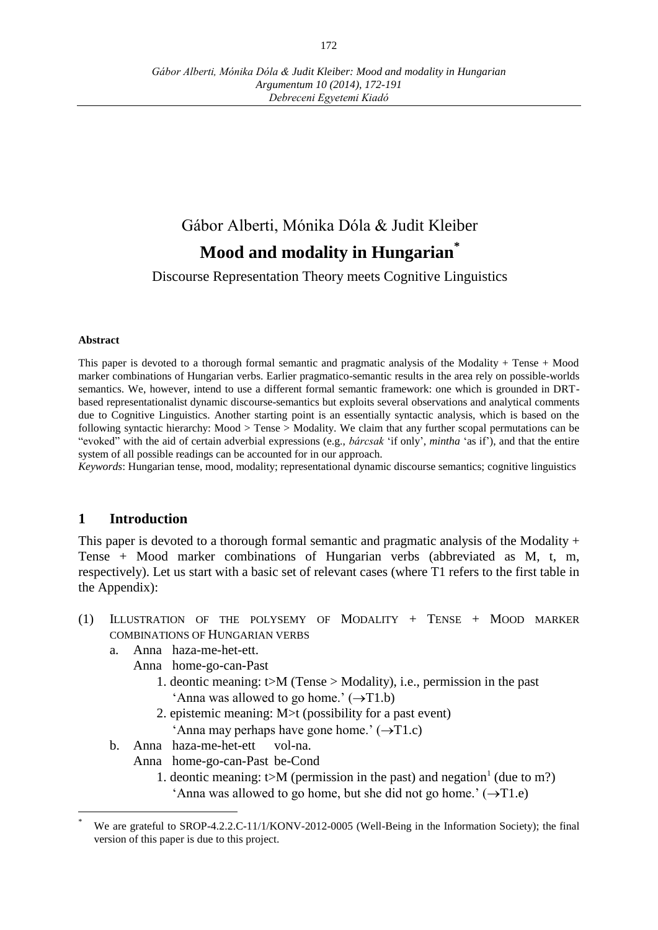# Gábor Alberti, Mónika Dóla & Judit Kleiber **Mood and modality in Hungarian\***

Discourse Representation Theory meets Cognitive Linguistics

#### **Abstract**

This paper is devoted to a thorough formal semantic and pragmatic analysis of the Modality + Tense + Mood marker combinations of Hungarian verbs. Earlier pragmatico-semantic results in the area rely on possible-worlds semantics. We, however, intend to use a different formal semantic framework: one which is grounded in DRTbased representationalist dynamic discourse-semantics but exploits several observations and analytical comments due to Cognitive Linguistics. Another starting point is an essentially syntactic analysis, which is based on the following syntactic hierarchy: Mood > Tense > Modality. We claim that any further scopal permutations can be "evoked" with the aid of certain adverbial expressions (e.g., *bárcsak* 'if only', *mintha* 'as if'), and that the entire system of all possible readings can be accounted for in our approach.

*Keywords*: Hungarian tense, mood, modality; representational dynamic discourse semantics; cognitive linguistics

## **1 Introduction**

 $\overline{a}$ 

This paper is devoted to a thorough formal semantic and pragmatic analysis of the Modality  $+$ Tense + Mood marker combinations of Hungarian verbs (abbreviated as M, t, m, respectively). Let us start with a basic set of relevant cases (where T1 refers to the first table in the Appendix):

- (1) ILLUSTRATION OF THE POLYSEMY OF MODALITY + TENSE + MOOD MARKER COMBINATIONS OF HUNGARIAN VERBS
	- a. Anna haza-me-het-ett.
		- Anna home-go-can-Past
			- 1. deontic meaning: t>M (Tense > Modality), i.e., permission in the past 'Anna was allowed to go home.'  $(\rightarrow T1.b)$
			- 2. epistemic meaning: M>t (possibility for a past event) 'Anna may perhaps have gone home.'  $(\rightarrow T1.c)$
	- b. Anna haza-me-het-ett vol-na.
		- Anna home-go-can-Past be-Cond
			- 1. deontic meaning:  $t>M$  (permission in the past) and negation<sup>1</sup> (due to m?) 'Anna was allowed to go home, but she did not go home.'  $(\rightarrow T1.e)$

We are grateful to SROP-4.2.2.C-11/1/KONV-2012-0005 (Well-Being in the Information Society); the final version of this paper is due to this project.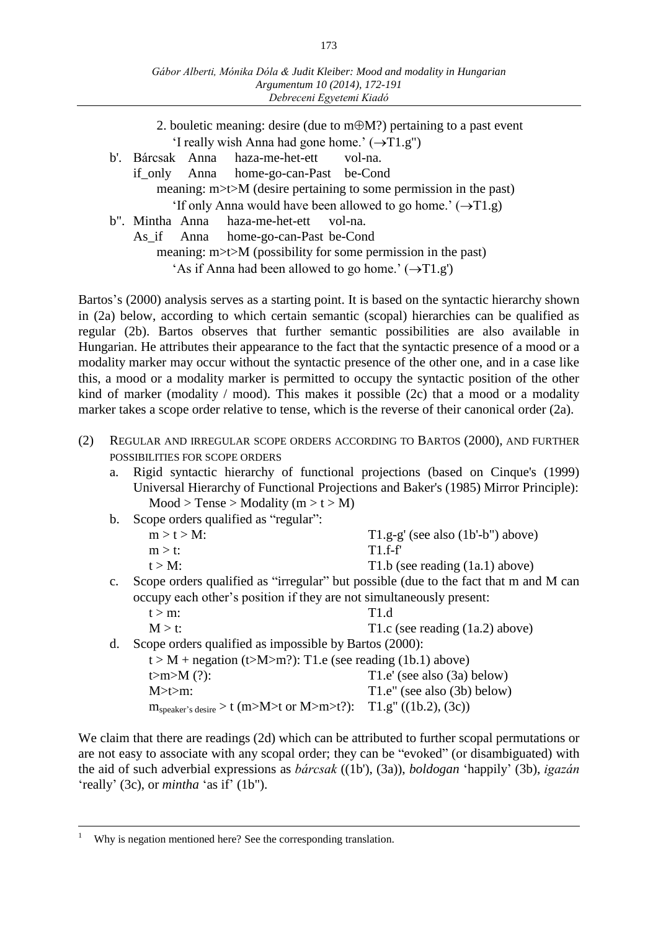| 2. bouletic meaning: desire (due to $m \oplus M$ ?) pertaining to a past event<br>'I really wish Anna had gone home.' $(\rightarrow T1.g")$ |  |  |  |  |
|---------------------------------------------------------------------------------------------------------------------------------------------|--|--|--|--|
| b'. Bárcsak Anna haza-me-het-ett<br>vol-na.                                                                                                 |  |  |  |  |
| if_only Anna home-go-can-Past be-Cond                                                                                                       |  |  |  |  |
| meaning: $m$ $\geq$ $\geq$ $M$ (desire pertaining to some permission in the past)                                                           |  |  |  |  |
| 'If only Anna would have been allowed to go home.' $(\rightarrow T1.g)$                                                                     |  |  |  |  |
| b". Mintha Anna haza-me-het-ett vol-na.                                                                                                     |  |  |  |  |
| As if Anna home-go-can-Past be-Cond                                                                                                         |  |  |  |  |
| meaning: $m$ $\geq$ $\geq$ $M$ (possibility for some permission in the past)                                                                |  |  |  |  |
| 'As if Anna had been allowed to go home.' $(\rightarrow T1.g')$                                                                             |  |  |  |  |
|                                                                                                                                             |  |  |  |  |

Bartos's (2000) analysis serves as a starting point. It is based on the syntactic hierarchy shown in (2a) below, according to which certain semantic (scopal) hierarchies can be qualified as regular (2b). Bartos observes that further semantic possibilities are also available in Hungarian. He attributes their appearance to the fact that the syntactic presence of a mood or a modality marker may occur without the syntactic presence of the other one, and in a case like this, a mood or a modality marker is permitted to occupy the syntactic position of the other kind of marker (modality / mood). This makes it possible  $(2c)$  that a mood or a modality marker takes a scope order relative to tense, which is the reverse of their canonical order (2a).

- (2) REGULAR AND IRREGULAR SCOPE ORDERS ACCORDING TO BARTOS (2000), AND FURTHER POSSIBILITIES FOR SCOPE ORDERS
	- a. Rigid syntactic hierarchy of functional projections (based on Cinque's (1999) Universal Hierarchy of Functional Projections and Baker's (1985) Mirror Principle):  $Mood > Tense > Modality (m > t > M)$

|                | b. Scope orders qualified as "regular": |                                                                                      |
|----------------|-----------------------------------------|--------------------------------------------------------------------------------------|
|                | $m > t > M$ :                           | $T1.g-g'$ (see also $(1b'-b'')$ above)                                               |
|                | $m > t$ :                               | $T1.f-f$                                                                             |
|                | $t > M$ :                               | T1.b (see reading $(1a.1)$ above)                                                    |
| $\mathbf{c}$ . |                                         | Scope orders qualified as "irregular" but possible (due to the fact that m and M can |
|                |                                         |                                                                                      |

occupy each other's position if they are not simultaneously present:  $t > m$ : T1.d

 $M > t$ : T1.c (see reading (1a.2) above)

d. Scope orders qualified as impossible by Bartos (2000):

 $t > M + negation (t>M>m$ ?): T1.e (see reading (1b.1) above)  $t>m>M$  (?):  $T1.e'$  (see also (3a) below) M>t>m: T1.e" (see also (3b) below)  $m_{\text{speaker's desire}} > t$  (m>M>t or M>m>t?): T1.g" ((1b.2), (3c))

We claim that there are readings (2d) which can be attributed to further scopal permutations or are not easy to associate with any scopal order; they can be "evoked" (or disambiguated) with the aid of such adverbial expressions as *bárcsak* ((1b'), (3a)), *boldogan* 'happily' (3b), *igazán* 'really' (3c), or *mintha* 'as if' (1b").

 $\overline{a}$ 

Why is negation mentioned here? See the corresponding translation.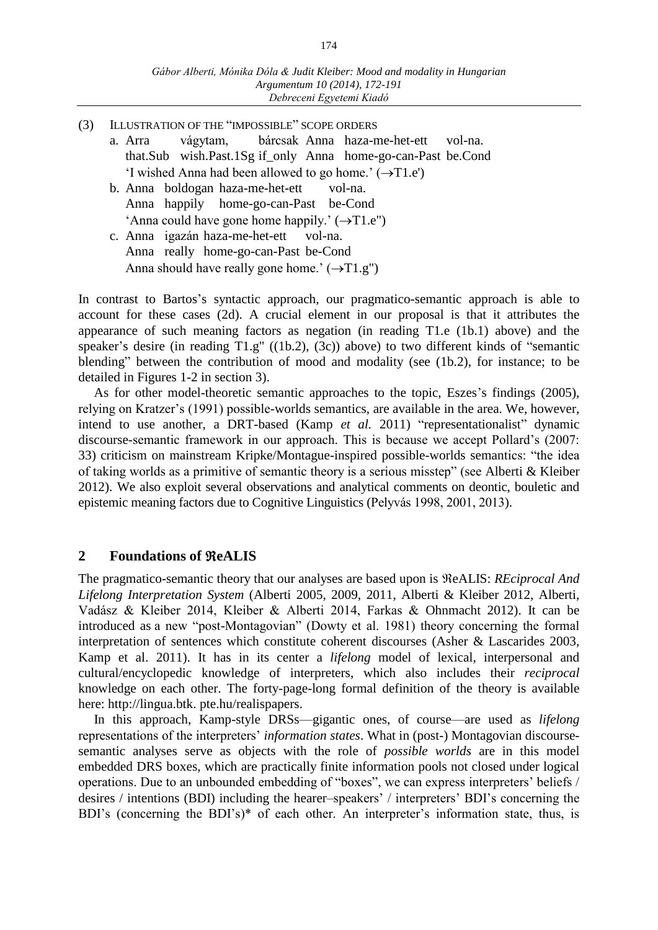- (3) ILLUSTRATION OF THE "IMPOSSIBLE" SCOPE ORDERS
	- a. Arra vágytam, bárcsak Anna haza-me-het-ett vol-na. that.Sub wish.Past.1Sg if\_only Anna home-go-can-Past be.Cond 'I wished Anna had been allowed to go home.'  $(\rightarrow T1.e')$
	- b. Anna boldogan haza-me-het-ett vol-na. Anna happily home-go-can-Past be-Cond 'Anna could have gone home happily.'  $(\rightarrow T1.e'')$
	- c. Anna igazán haza-me-het-ett vol-na. Anna really home-go-can-Past be-Cond Anna should have really gone home.'  $(\rightarrow T1.g")$

In contrast to Bartos's syntactic approach, our pragmatico-semantic approach is able to account for these cases (2d). A crucial element in our proposal is that it attributes the appearance of such meaning factors as negation (in reading T1.e (1b.1) above) and the speaker's desire (in reading T1.g" ((1b.2), (3c)) above) to two different kinds of "semantic blending" between the contribution of mood and modality (see (1b.2), for instance; to be detailed in Figures 1-2 in section 3).

As for other model-theoretic semantic approaches to the topic, Eszes's findings (2005), relying on Kratzer's (1991) possible-worlds semantics, are available in the area. We, however, intend to use another, a DRT-based (Kamp *et al.* 2011) "representationalist" dynamic discourse-semantic framework in our approach. This is because we accept Pollard's (2007: 33) criticism on mainstream Kripke/Montague-inspired possible-worlds semantics: "the idea of taking worlds as a primitive of semantic theory is a serious misstep" (see Alberti & Kleiber 2012). We also exploit several observations and analytical comments on deontic, bouletic and epistemic meaning factors due to Cognitive Linguistics (Pelyvás 1998, 2001, 2013).

# **2 Foundations of eALIS**

The pragmatico-semantic theory that our analyses are based upon is  $\Re$ eALIS: *REciprocal And Lifelong Interpretation System* (Alberti 2005, 2009, 2011, Alberti & Kleiber 2012, Alberti, Vadász & Kleiber 2014, Kleiber & Alberti 2014, Farkas & Ohnmacht 2012). It can be introduced as a new "post-Montagovian" (Dowty et al. 1981) theory concerning the formal interpretation of sentences which constitute coherent discourses (Asher & Lascarides 2003, Kamp et al. 2011). It has in its center a *lifelong* model of lexical, interpersonal and cultural/encyclopedic knowledge of interpreters, which also includes their *reciprocal* knowledge on each other. The forty-page-long formal definition of the theory is available here: http://lingua.btk. pte.hu/realispapers.

In this approach, Kamp-style DRSs—gigantic ones, of course—are used as *lifelong* representations of the interpreters' *information states*. What in (post-) Montagovian discoursesemantic analyses serve as objects with the role of *possible worlds* are in this model embedded DRS boxes, which are practically finite information pools not closed under logical operations. Due to an unbounded embedding of "boxes", we can express interpreters' beliefs / desires / intentions (BDI) including the hearer–speakers' / interpreters' BDI's concerning the BDI's (concerning the BDI's)\* of each other. An interpreter's information state, thus, is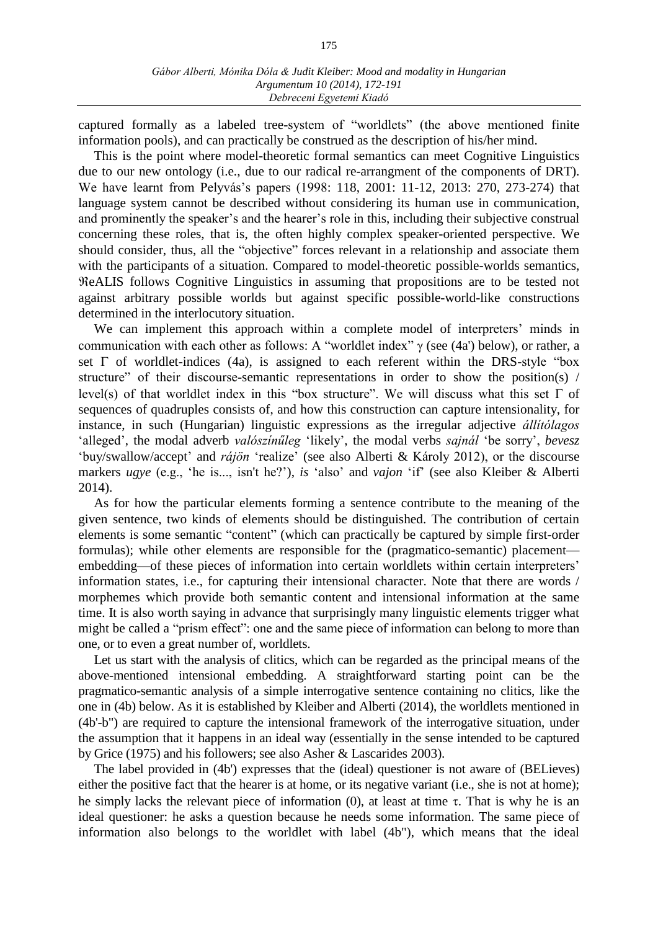captured formally as a labeled tree-system of "worldlets" (the above mentioned finite information pools), and can practically be construed as the description of his/her mind.

This is the point where model-theoretic formal semantics can meet Cognitive Linguistics due to our new ontology (i.e., due to our radical re-arrangment of the components of DRT). We have learnt from Pelyvás's papers (1998: 118, 2001: 11-12, 2013: 270, 273-274) that language system cannot be described without considering its human use in communication, and prominently the speaker's and the hearer's role in this, including their subjective construal concerning these roles, that is, the often highly complex speaker-oriented perspective. We should consider, thus, all the "objective" forces relevant in a relationship and associate them with the participants of a situation. Compared to model-theoretic possible-worlds semantics, eALIS follows Cognitive Linguistics in assuming that propositions are to be tested not against arbitrary possible worlds but against specific possible-world-like constructions determined in the interlocutory situation.

We can implement this approach within a complete model of interpreters' minds in communication with each other as follows: A "worldlet index"  $\gamma$  (see (4a') below), or rather, a set  $\Gamma$  of worldlet-indices (4a), is assigned to each referent within the DRS-style "box structure" of their discourse-semantic representations in order to show the position(s) / level(s) of that worldlet index in this "box structure". We will discuss what this set  $\Gamma$  of sequences of quadruples consists of, and how this construction can capture intensionality, for instance, in such (Hungarian) linguistic expressions as the irregular adjective *állítólagos* 'alleged', the modal adverb *valószínűleg* 'likely', the modal verbs *sajnál* 'be sorry', *bevesz* 'buy/swallow/accept' and *rájön* 'realize' (see also Alberti & Károly 2012), or the discourse markers *ugye* (e.g., 'he is..., isn't he?'), *is* 'also' and *vajon* 'if' (see also Kleiber & Alberti 2014).

As for how the particular elements forming a sentence contribute to the meaning of the given sentence, two kinds of elements should be distinguished. The contribution of certain elements is some semantic "content" (which can practically be captured by simple first-order formulas); while other elements are responsible for the (pragmatico-semantic) placement embedding—of these pieces of information into certain worldlets within certain interpreters' information states, i.e., for capturing their intensional character. Note that there are words / morphemes which provide both semantic content and intensional information at the same time. It is also worth saying in advance that surprisingly many linguistic elements trigger what might be called a "prism effect": one and the same piece of information can belong to more than one, or to even a great number of, worldlets.

Let us start with the analysis of clitics, which can be regarded as the principal means of the above-mentioned intensional embedding. A straightforward starting point can be the pragmatico-semantic analysis of a simple interrogative sentence containing no clitics, like the one in (4b) below. As it is established by Kleiber and Alberti (2014), the worldlets mentioned in (4b'-b") are required to capture the intensional framework of the interrogative situation, under the assumption that it happens in an ideal way (essentially in the sense intended to be captured by Grice (1975) and his followers; see also Asher & Lascarides 2003).

The label provided in (4b') expresses that the (ideal) questioner is not aware of (BELieves) either the positive fact that the hearer is at home, or its negative variant (i.e., she is not at home); he simply lacks the relevant piece of information (0), at least at time  $\tau$ . That is why he is an ideal questioner: he asks a question because he needs some information. The same piece of information also belongs to the worldlet with label (4b"), which means that the ideal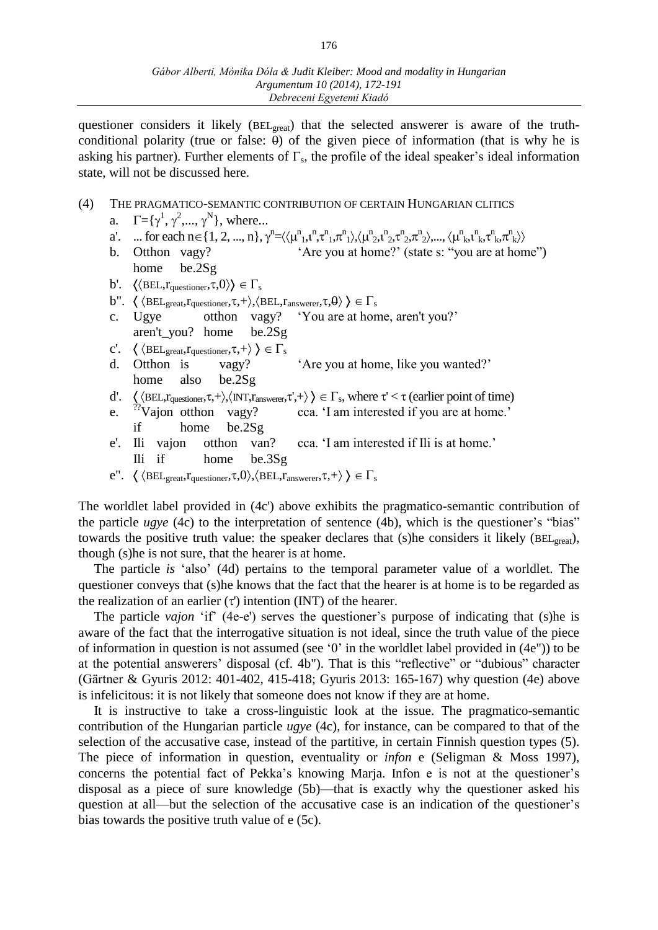questioner considers it likely (BEL<sub>great</sub>) that the selected answerer is aware of the truthconditional polarity (true or false:  $\theta$ ) of the given piece of information (that is why he is asking his partner). Further elements of  $\Gamma_s$ , the profile of the ideal speaker's ideal information state, will not be discussed here.

## (4) THE PRAGMATICO-SEMANTIC CONTRIBUTION OF CERTAIN HUNGARIAN CLITICS

- a.  $\Gamma = {\gamma^1, \gamma^2, ..., \gamma^N}$ , where...
- a'. ... for each  $n \in \{1, 2, ..., n\}, \gamma^n = \langle \langle \mu^n_1, \mu^n_1, \tau^n_1, \pi^n_1 \rangle, \langle \mu^n_2, \mu^n_2, \tau^n_2, \pi^n_2 \rangle, ..., \langle \mu^n_k, \mu^n_k, \tau^n_k, \pi^n_k \rangle \rangle$
- b. Otthon vagy? 'Are you at home?' (state s: "you are at home") home be.2Sg
- b'.  $\langle \langle \text{BEL}, r_{questioner}, \tau, 0 \rangle \rangle \in \Gamma_s$
- b".  $\langle \langle \text{BEL}_{\text{great}}, r_{\text{questioner}}, \tau, + \rangle, \langle \text{BEL}, r_{\text{answerer}}, \tau, \theta \rangle \rangle \in \Gamma_s$
- c. Ugye otthon vagy? 'You are at home, aren't you?' aren't\_you? home be.2Sg
- c'.  $\langle \langle \text{BEL}_{\text{great}}, r_{\text{questioner}}, \tau, + \rangle \rangle \in \Gamma_s$
- d. Otthon is vagy? 'Are you at home, like you wanted?' home also be.2Sg
- d'.  $\langle \langle \text{BEL}, r_{questioner}, \tau, + \rangle, \langle \text{INT}, r_{answerer}, \tau', + \rangle \rangle \in \Gamma_s$ , where  $\tau' < \tau$  (earlier point of time)
- e.  $\gamma$ <sup>"</sup>Vajon otthon vagy? cca. 'I am interested if you are at home.' if home be.2Sg
- e'. Ili vajon otthon van? cca. 'I am interested if Ili is at home.' Ili if home be.3Sg
- e".  $\langle \langle \text{BEL}_{\text{great}}, r_{\text{questioner}}, \tau, 0 \rangle, \langle \text{BEL}, r_{\text{answerer}}, \tau, + \rangle \rangle \in \Gamma_s$

The worldlet label provided in (4c') above exhibits the pragmatico-semantic contribution of the particle *ugye* (4c) to the interpretation of sentence (4b), which is the questioner's "bias" towards the positive truth value: the speaker declares that (s) he considers it likely (BEL<sub>great</sub>), though (s)he is not sure, that the hearer is at home.

The particle *is* 'also' (4d) pertains to the temporal parameter value of a worldlet. The questioner conveys that (s)he knows that the fact that the hearer is at home is to be regarded as the realization of an earlier  $(\tau)$  intention (INT) of the hearer.

The particle *vajon* 'if' (4e-e') serves the questioner's purpose of indicating that (s)he is aware of the fact that the interrogative situation is not ideal, since the truth value of the piece of information in question is not assumed (see  $\degree$  0' in the worldlet label provided in (4e")) to be at the potential answerers' disposal (cf. 4b"). That is this "reflective" or "dubious" character (Gärtner & Gyuris 2012: 401-402, 415-418; Gyuris 2013: 165-167) why question (4e) above is infelicitous: it is not likely that someone does not know if they are at home.

It is instructive to take a cross-linguistic look at the issue. The pragmatico-semantic contribution of the Hungarian particle *ugye* (4c), for instance, can be compared to that of the selection of the accusative case, instead of the partitive, in certain Finnish question types (5). The piece of information in question, eventuality or *infon* e (Seligman & Moss 1997), concerns the potential fact of Pekka's knowing Marja. Infon e is not at the questioner's disposal as a piece of sure knowledge (5b)—that is exactly why the questioner asked his question at all—but the selection of the accusative case is an indication of the questioner's bias towards the positive truth value of e (5c).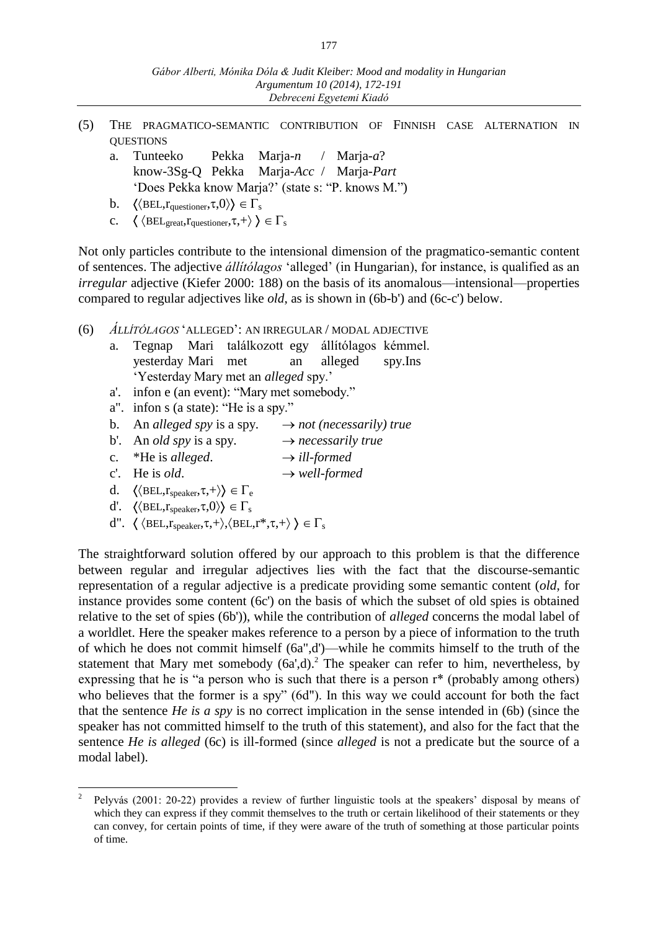- (5) THE PRAGMATICO-SEMANTIC CONTRIBUTION OF FINNISH CASE ALTERNATION IN **OUESTIONS** 
	- a. Tunteeko Pekka Marja-*n* / Marja-*a*? know-3Sg-Q Pekka Marja*-Acc* / Marja*-Part* 'Does Pekka know Marja?' (state s: "P. knows M.")
	- b.  $\langle \langle \text{BEL,} r_{\text{questioner}}, \tau, 0 \rangle \rangle \in \Gamma_s$
	- c.  $\langle \langle \text{BEL}_{\text{great}}, r_{\text{questioner}}, \tau, + \rangle \rangle \in \Gamma_s$

Not only particles contribute to the intensional dimension of the pragmatico-semantic content of sentences. The adjective *állítólagos* 'alleged' (in Hungarian), for instance, is qualified as an *irregular* adjective (Kiefer 2000: 188) on the basis of its anomalous—intensional—properties compared to regular adjectives like *old*, as is shown in (6b-b') and (6c-c') below.

- (6) *ÁLLÍTÓLAGOS* 'ALLEGED': AN IRREGULAR / MODAL ADJECTIVE
	- a. Tegnap Mari találkozott egy állítólagos kémmel. yesterday Mari met an alleged spy.Ins 'Yesterday Mary met an *alleged* spy.'
	- a'. infon e (an event): "Mary met somebody."
	- a". infon s (a state): "He is a spy."
	- b. An *alleged spy* is a spy.  $\rightarrow$  *not (necessarily) true*
	- b'. An *old spy* is a spy.  $\rightarrow$  *necessarily true*
	- c.  $*He$  is *alleged*.  $\rightarrow$  *ill-formed*
	- c'. He is *old*.  $\rightarrow$  *well-formed*
	- d.  $\langle \langle \text{BEL}, r_{\text{speaker}}, \tau, + \rangle \rangle \in \Gamma_e$
	- d'.  $\langle \langle \text{BEL}, r_{\text{speaker}}, \tau, 0 \rangle \rangle \in \Gamma_s$

 $\overline{a}$ 

d".  $\langle \langle \text{BEL}, r_{\text{speaker}}, \tau, + \rangle, \langle \text{BEL}, r^*, \tau, + \rangle \rangle \in \Gamma_s$ 

The straightforward solution offered by our approach to this problem is that the difference between regular and irregular adjectives lies with the fact that the discourse-semantic representation of a regular adjective is a predicate providing some semantic content (*old*, for instance provides some content (6c') on the basis of which the subset of old spies is obtained relative to the set of spies (6b')), while the contribution of *alleged* concerns the modal label of a worldlet. Here the speaker makes reference to a person by a piece of information to the truth of which he does not commit himself (6a",d')—while he commits himself to the truth of the statement that Mary met somebody  $(6a',d)$ .<sup>2</sup> The speaker can refer to him, nevertheless, by expressing that he is "a person who is such that there is a person r\* (probably among others) who believes that the former is a spy" (6d"). In this way we could account for both the fact that the sentence *He is a spy* is no correct implication in the sense intended in (6b) (since the speaker has not committed himself to the truth of this statement), and also for the fact that the sentence *He is alleged* (6c) is ill-formed (since *alleged* is not a predicate but the source of a modal label).

<sup>2</sup> Pelyvás (2001: 20-22) provides a review of further linguistic tools at the speakers' disposal by means of which they can express if they commit themselves to the truth or certain likelihood of their statements or they can convey, for certain points of time, if they were aware of the truth of something at those particular points of time.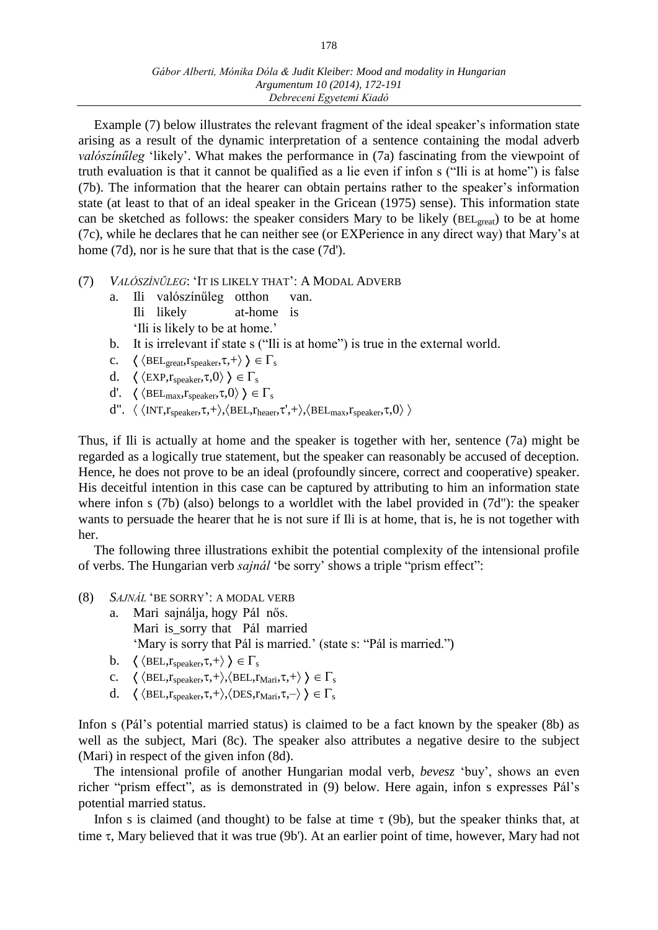Example (7) below illustrates the relevant fragment of the ideal speaker's information state arising as a result of the dynamic interpretation of a sentence containing the modal adverb *valószínűleg* 'likely'. What makes the performance in (7a) fascinating from the viewpoint of truth evaluation is that it cannot be qualified as a lie even if infon s ("Ili is at home") is false (7b). The information that the hearer can obtain pertains rather to the speaker's information state (at least to that of an ideal speaker in the Gricean (1975) sense). This information state can be sketched as follows: the speaker considers Mary to be likely (BEL<sub>great</sub>) to be at home (7c), while he declares that he can neither see (or EXPerience in any direct way) that Mary's at home (7d), nor is he sure that that is the case (7d').

- (7) *VALÓSZÍNŰLEG*: 'IT IS LIKELY THAT': A MODAL ADVERB
	- a. Ili valószínűleg otthon van. Ili likely at-home is
		- 'Ili is likely to be at home.'
	- b. It is irrelevant if state s ("Ili is at home") is true in the external world.
	- c.  $\langle \langle \text{BEL}_{\text{great}}, r_{\text{speaker}}, \tau, + \rangle \rangle \in \Gamma_s$
	- d.  $\langle$  (EXP,  $r_{\text{speaker}},\tau,0 \rangle$ )  $\in \Gamma_{\text{s}}$
	- d'.  $\langle \langle \text{BEL}_{\text{max}}, r_{\text{speaker}}, \tau, 0 \rangle \rangle \in \Gamma_s$
	- d".  $\langle \langle \text{INT},r_{\text{speaker}},\tau,+\rangle, \langle \text{BEL},r_{\text{heaerr}},\tau',+\rangle, \langle \text{BEL}_{\text{max}},r_{\text{speaker}},\tau,0\rangle \rangle$

Thus, if Ili is actually at home and the speaker is together with her, sentence (7a) might be regarded as a logically true statement, but the speaker can reasonably be accused of deception. Hence, he does not prove to be an ideal (profoundly sincere, correct and cooperative) speaker. His deceitful intention in this case can be captured by attributing to him an information state where infon s (7b) (also) belongs to a worldlet with the label provided in (7d"): the speaker wants to persuade the hearer that he is not sure if Ili is at home, that is, he is not together with her.

The following three illustrations exhibit the potential complexity of the intensional profile of verbs. The Hungarian verb *sajnál* 'be sorry' shows a triple "prism effect":

- (8) *SAJNÁL* 'BE SORRY': A MODAL VERB
	- a. Mari sajnálja, hogy Pál nős. Mari is\_sorry that Pál married 'Mary is sorry that Pál is married.' (state s: "Pál is married.")
	- b.  $\langle \langle \text{BEL}, r_{\text{sheaker}}, \tau, + \rangle \rangle \in \Gamma_s$
	- c.  $\langle \langle \text{BEL}, r_{\text{speaker}}, \tau, + \rangle, \langle \text{BEL}, r_{\text{Mari}}, \tau, + \rangle \rangle \in \Gamma_s$
	- d.  $\langle \langle \text{BEL}, r_{\text{speaker}}, \tau, + \rangle, \langle \text{DES}, r_{\text{Mari}}, \tau, \rangle \rangle \in \Gamma_s$

Infon s (Pál's potential married status) is claimed to be a fact known by the speaker (8b) as well as the subject, Mari (8c). The speaker also attributes a negative desire to the subject (Mari) in respect of the given infon (8d).

The intensional profile of another Hungarian modal verb, *bevesz* 'buy', shows an even richer "prism effect", as is demonstrated in (9) below. Here again, infon s expresses Pál's potential married status.

Infon s is claimed (and thought) to be false at time  $\tau$  (9b), but the speaker thinks that, at time  $\tau$ , Mary believed that it was true (9b'). At an earlier point of time, however, Mary had not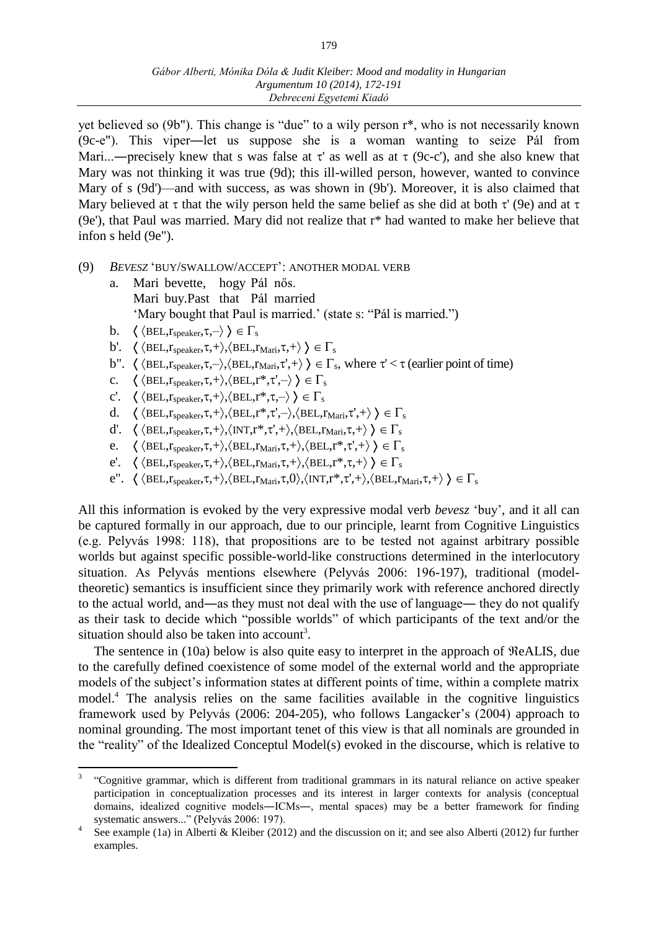yet believed so (9b"). This change is "due" to a wily person r\*, who is not necessarily known (9c-e"). This viper―let us suppose she is a woman wanting to seize Pál from Mari...—precisely knew that s was false at  $\tau'$  as well as at  $\tau$  (9c-c'), and she also knew that Mary was not thinking it was true (9d); this ill-willed person, however, wanted to convince Mary of s (9d')—and with success, as was shown in (9b'). Moreover, it is also claimed that Mary believed at  $\tau$  that the wily person held the same belief as she did at both  $\tau'$  (9e) and at  $\tau$ (9e'), that Paul was married. Mary did not realize that r\* had wanted to make her believe that infon s held (9e").

#### (9) *BEVESZ* 'BUY/SWALLOW/ACCEPT': ANOTHER MODAL VERB

- a. Mari bevette, hogy Pál nős. Mari buy.Past that Pál married 'Mary bought that Paul is married.' (state s: "Pál is married.")
- b.  $\langle \langle \text{BEL}, r_{\text{speaker}}, \tau, \rangle \rangle \in \Gamma_s$

 $\overline{a}$ 

- b'.  $\langle \langle \text{BEL}, r_{\text{sheaker}}, \tau, + \rangle, \langle \text{BEL}, r_{\text{Mari}}, \tau, + \rangle \rangle \in \Gamma_s$
- b".  $\langle \langle \text{BEL}, r_{\text{speaker}}, \tau, \rangle, \langle \text{ BEL}, r_{\text{Mari}}, \tau', + \rangle \rangle \in \Gamma_s$ , where  $\tau' < \tau$  (earlier point of time)
- c.  $\langle \langle \text{BEL}, r_{\text{speaker}}, \tau, + \rangle, \langle \text{BEL}, r^*, \tau', \rangle \rangle \in \Gamma_s$
- c'.  $\langle \langle \text{BEL}, r_{\text{speaker}}, \tau, + \rangle, \langle \text{BEL}, r^*, \tau, \rangle \rangle \in \Gamma_s$
- d.  $\langle \langle \text{BEL}, r_{\text{speaker}}, \tau, + \rangle, \langle \text{BEL}, r^*, \tau', \rangle, \langle \text{BEL}, r_{\text{Mari}}, \tau', + \rangle \rangle \in \Gamma_s$
- d'.  $\langle \langle \text{BEL}, r_{\text{sheaker}}, \tau, + \rangle, \langle \text{INT}, r^*, \tau', + \rangle, \langle \text{BEL}, r_{\text{ Mari}}, \tau, + \rangle \rangle \in \Gamma_s$
- e.  $\langle \langle \text{BEL}, r_{\text{sheaker}}, \tau, + \rangle, \langle \text{BEL}, r_{\text{ Mari}}, \tau, + \rangle, \langle \text{BEL}, r^*, \tau', + \rangle \rangle \in \Gamma_s$
- e'.  $\langle \langle \text{BEL}, r_{\text{speaker}}, \tau, + \rangle, \langle \text{BEL}, r_{\text{Mari}}, \tau, + \rangle, \langle \text{BEL}, r^*, \tau, + \rangle \rangle \in \Gamma_s$
- e".  $\langle \langle \text{BEL}, r_{\text{speaker}}, \tau,+\rangle, \langle \text{BEL}, r_{\text{Mari}}, \tau,0\rangle, \langle \text{INT}, r^*, \tau',+\rangle, \langle \text{BEL}, r_{\text{Mari}}, \tau,+\rangle \rangle \in \Gamma_s$

All this information is evoked by the very expressive modal verb *bevesz* 'buy', and it all can be captured formally in our approach, due to our principle, learnt from Cognitive Linguistics (e.g. Pelyvás 1998: 118), that propositions are to be tested not against arbitrary possible worlds but against specific possible-world-like constructions determined in the interlocutory situation. As Pelyvás mentions elsewhere (Pelyvás 2006: 196-197), traditional (modeltheoretic) semantics is insufficient since they primarily work with reference anchored directly to the actual world, and―as they must not deal with the use of language― they do not qualify as their task to decide which "possible worlds" of which participants of the text and/or the situation should also be taken into account<sup>3</sup>.

The sentence in (10a) below is also quite easy to interpret in the approach of  $ReALIS$ , due to the carefully defined coexistence of some model of the external world and the appropriate models of the subject's information states at different points of time, within a complete matrix model.<sup>4</sup> The analysis relies on the same facilities available in the cognitive linguistics framework used by Pelyvás (2006: 204-205), who follows Langacker's (2004) approach to nominal grounding. The most important tenet of this view is that all nominals are grounded in the "reality" of the Idealized Conceptul Model(s) evoked in the discourse, which is relative to

<sup>3</sup> "Cognitive grammar, which is different from traditional grammars in its natural reliance on active speaker participation in conceptualization processes and its interest in larger contexts for analysis (conceptual domains, idealized cognitive models—ICMs—, mental spaces) may be a better framework for finding systematic answers..." (Pelyvás 2006: 197).

<sup>4</sup> See example (1a) in Alberti & Kleiber (2012) and the discussion on it; and see also Alberti (2012) fur further examples.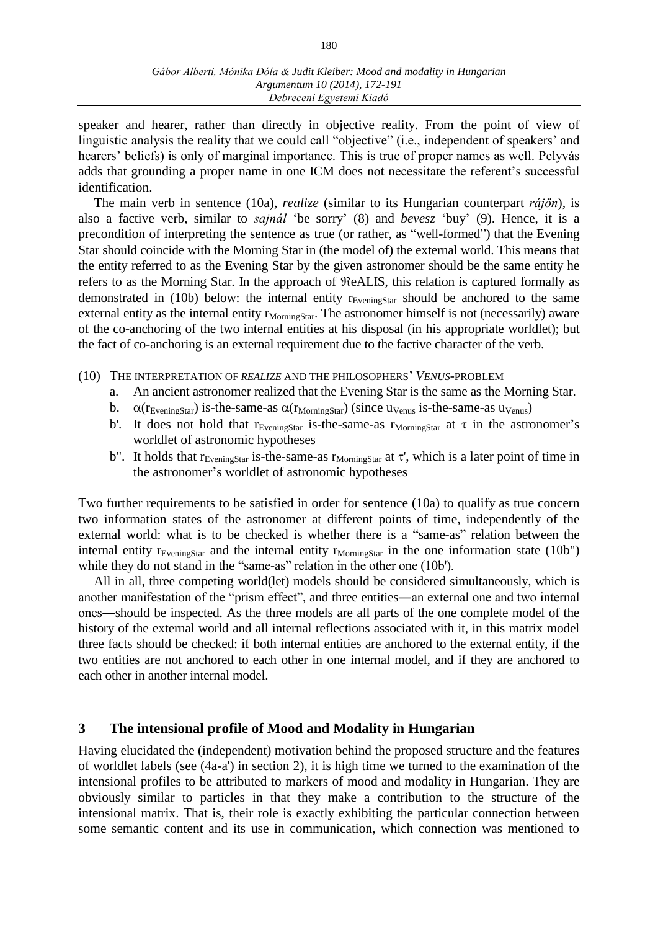speaker and hearer, rather than directly in objective reality. From the point of view of linguistic analysis the reality that we could call "objective" (i.e., independent of speakers' and hearers' beliefs) is only of marginal importance. This is true of proper names as well. Pelyvás adds that grounding a proper name in one ICM does not necessitate the referent's successful identification.

The main verb in sentence (10a), *realize* (similar to its Hungarian counterpart *rájön*), is also a factive verb, similar to *sajnál* 'be sorry' (8) and *bevesz* 'buy' (9). Hence, it is a precondition of interpreting the sentence as true (or rather, as "well-formed") that the Evening Star should coincide with the Morning Star in (the model of) the external world. This means that the entity referred to as the Evening Star by the given astronomer should be the same entity he refers to as the Morning Star. In the approach of  $ReALIS$ , this relation is captured formally as demonstrated in (10b) below: the internal entity  $r_{EveningStar}$  should be anchored to the same external entity as the internal entity  $r_{\text{MormingStar}}$ . The astronomer himself is not (necessarily) aware of the co-anchoring of the two internal entities at his disposal (in his appropriate worldlet); but the fact of co-anchoring is an external requirement due to the factive character of the verb.

- (10) THE INTERPRETATION OF *REALIZE* AND THE PHILOSOPHERS' *VENUS*-PROBLEM
	- a. An ancient astronomer realized that the Evening Star is the same as the Morning Star.
	- b.  $\alpha(r_{EveningStar})$  is-the-same-as  $\alpha(r_{MormingStar})$  (since u<sub>Venus</sub> is-the-same-as u<sub>Venus</sub>)
	- b'. It does not hold that  $r_{EveningStar}$  is-the-same-as  $r_{MormingStar}$  at  $\tau$  in the astronomer's worldlet of astronomic hypotheses
	- b". It holds that  $r_{EveningStar}$  is-the-same-as  $r_{MormingStar}$  at  $\tau'$ , which is a later point of time in the astronomer's worldlet of astronomic hypotheses

Two further requirements to be satisfied in order for sentence (10a) to qualify as true concern two information states of the astronomer at different points of time, independently of the external world: what is to be checked is whether there is a "same-as" relation between the internal entity  $r_{Eveningstar}$  and the internal entity  $r_{Mormingstar}$  in the one information state (10b") while they do not stand in the "same-as" relation in the other one (10b').

All in all, three competing world(let) models should be considered simultaneously, which is another manifestation of the "prism effect", and three entities―an external one and two internal ones―should be inspected. As the three models are all parts of the one complete model of the history of the external world and all internal reflections associated with it, in this matrix model three facts should be checked: if both internal entities are anchored to the external entity, if the two entities are not anchored to each other in one internal model, and if they are anchored to each other in another internal model.

## **3 The intensional profile of Mood and Modality in Hungarian**

Having elucidated the (independent) motivation behind the proposed structure and the features of worldlet labels (see (4a-a') in section 2), it is high time we turned to the examination of the intensional profiles to be attributed to markers of mood and modality in Hungarian. They are obviously similar to particles in that they make a contribution to the structure of the intensional matrix. That is, their role is exactly exhibiting the particular connection between some semantic content and its use in communication, which connection was mentioned to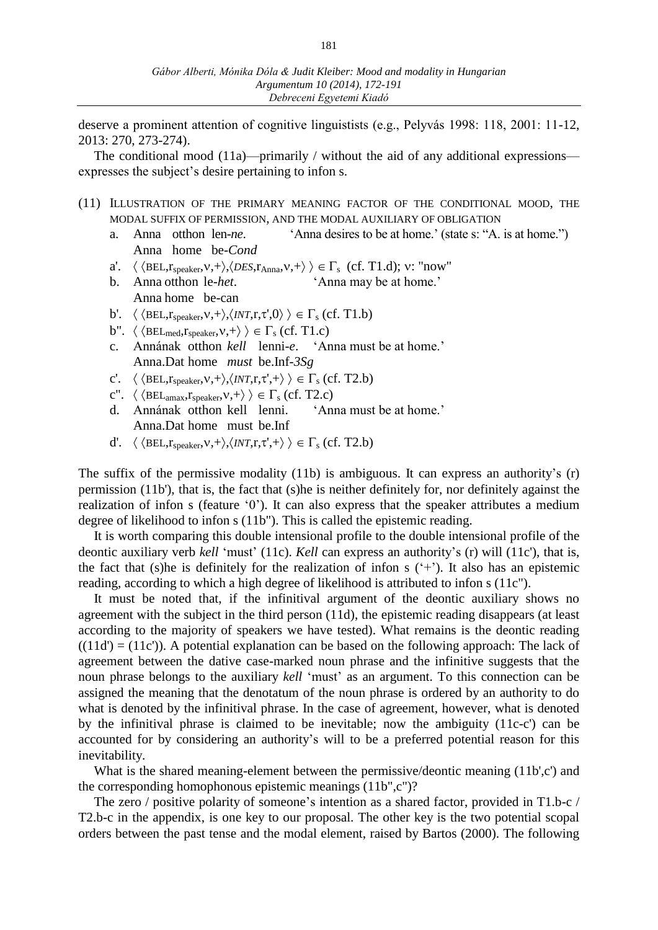deserve a prominent attention of cognitive linguistists (e.g., Pelyvás 1998: 118, 2001: 11-12, 2013: 270, 273-274).

The conditional mood (11a)—primarily / without the aid of any additional expressions expresses the subject's desire pertaining to infon s.

- (11) ILLUSTRATION OF THE PRIMARY MEANING FACTOR OF THE CONDITIONAL MOOD, THE MODAL SUFFIX OF PERMISSION, AND THE MODAL AUXILIARY OF OBLIGATION
	- a. Anna otthon len-*ne*. 'Anna desires to be at home.' (state s: "A. is at home.") Anna home be-*Cond*
	- a'.  $\langle \langle \text{BEL}, r_{\text{speaker}}, v, + \rangle, \langle \text{DES}, r_{\text{Anna}}, v, + \rangle \rangle \in \Gamma_s$  (cf. T1.d); v: "now"
	- b. Anna otthon le-*het*. 'Anna may be at home.' Anna home be-can
	- b'.  $\langle \langle \text{BEL}, r_{\text{speaker}}, v, + \rangle, \langle INT, r, \tau', 0 \rangle \rangle \in \Gamma_s$  (cf. T1.b)
	-
	- b".  $\langle \langle \text{BEL}_{\text{med}}, r_{\text{speaker}}, v, + \rangle \rangle \in \Gamma_s$  (cf. T1.c)<br>c. Annának otthon *kell* lenni-*e*. 'Anna must be at home.' c. Annának otthon *kell* lenni-e. Anna.Dat home *must* be.Inf-*3Sg*
	- c'.  $\langle \langle \text{BEL}, r_{\text{speaker}}, v, + \rangle, \langle \text{INT}, r, \tau', + \rangle \rangle \in \Gamma_s$  (cf. T2.b)
	- c".  $\langle \langle \text{BEL}_{\text{amax}}, r_{\text{speaker}}, v, + \rangle \rangle \in \Gamma_s$  (cf. T2.c)
	- d. Annának otthon kell lenni. 'Anna must be at home.' Anna.Dat home must be.Inf
	- d'.  $\langle \langle \text{BEL}, r_{\text{speaker}}, v, + \rangle, \langle INT, r, \tau', + \rangle \rangle \in \Gamma_s$  (cf. T2.b)

The suffix of the permissive modality (11b) is ambiguous. It can express an authority's (r) permission (11b'), that is, the fact that (s)he is neither definitely for, nor definitely against the realization of infon s (feature '0'). It can also express that the speaker attributes a medium degree of likelihood to infon s (11b"). This is called the epistemic reading.

It is worth comparing this double intensional profile to the double intensional profile of the deontic auxiliary verb *kell* 'must' (11c). *Kell* can express an authority's (r) will (11c'), that is, the fact that (s) he is definitely for the realization of infon  $s$  ( $\leftrightarrow$ ). It also has an epistemic reading, according to which a high degree of likelihood is attributed to infon s (11c").

It must be noted that, if the infinitival argument of the deontic auxiliary shows no agreement with the subject in the third person (11d), the epistemic reading disappears (at least according to the majority of speakers we have tested). What remains is the deontic reading  $((11d') = (11c'))$ . A potential explanation can be based on the following approach: The lack of agreement between the dative case-marked noun phrase and the infinitive suggests that the noun phrase belongs to the auxiliary *kell* 'must' as an argument. To this connection can be assigned the meaning that the denotatum of the noun phrase is ordered by an authority to do what is denoted by the infinitival phrase. In the case of agreement, however, what is denoted by the infinitival phrase is claimed to be inevitable; now the ambiguity (11c-c') can be accounted for by considering an authority's will to be a preferred potential reason for this inevitability.

What is the shared meaning-element between the permissive/deontic meaning (11b',c') and the corresponding homophonous epistemic meanings (11b",c")?

The zero / positive polarity of someone's intention as a shared factor, provided in T1.b-c / T2.b-c in the appendix, is one key to our proposal. The other key is the two potential scopal orders between the past tense and the modal element, raised by Bartos (2000). The following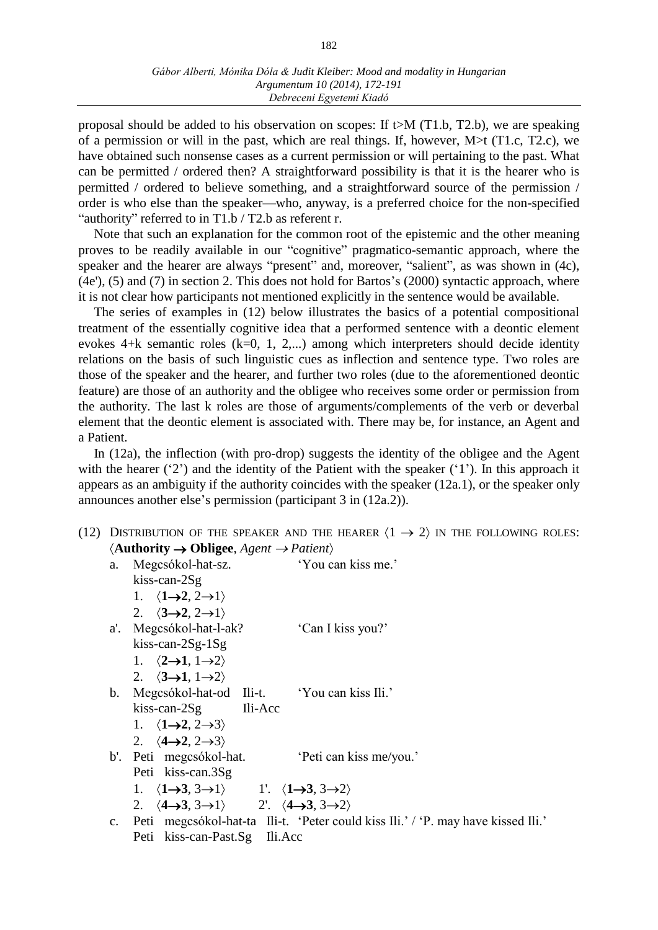proposal should be added to his observation on scopes: If  $t>M$  (T1.b, T2.b), we are speaking of a permission or will in the past, which are real things. If, however,  $M > t$  (T1.c, T2.c), we have obtained such nonsense cases as a current permission or will pertaining to the past. What can be permitted / ordered then? A straightforward possibility is that it is the hearer who is permitted / ordered to believe something, and a straightforward source of the permission / order is who else than the speaker—who, anyway, is a preferred choice for the non-specified "authority" referred to in T1.b / T2.b as referent r.

Note that such an explanation for the common root of the epistemic and the other meaning proves to be readily available in our "cognitive" pragmatico-semantic approach, where the speaker and the hearer are always "present" and, moreover, "salient", as was shown in (4c), (4e'), (5) and (7) in section 2. This does not hold for Bartos's (2000) syntactic approach, where it is not clear how participants not mentioned explicitly in the sentence would be available.

The series of examples in (12) below illustrates the basics of a potential compositional treatment of the essentially cognitive idea that a performed sentence with a deontic element evokes  $4+k$  semantic roles  $(k=0, 1, 2,...)$  among which interpreters should decide identity relations on the basis of such linguistic cues as inflection and sentence type. Two roles are those of the speaker and the hearer, and further two roles (due to the aforementioned deontic feature) are those of an authority and the obligee who receives some order or permission from the authority. The last k roles are those of arguments/complements of the verb or deverbal element that the deontic element is associated with. There may be, for instance, an Agent and a Patient.

In (12a), the inflection (with pro-drop) suggests the identity of the obligee and the Agent with the hearer ('2') and the identity of the Patient with the speaker ('1'). In this approach it appears as an ambiguity if the authority coincides with the speaker (12a.1), or the speaker only announces another else's permission (participant 3 in (12a.2)).

(12) DISTRIBUTION OF THE SPEAKER AND THE HEARER  $\langle 1 \rightarrow 2 \rangle$  IN THE FOLLOWING ROLES: **Authority Obligee**, *Agent Patient*

| a. Megcsókol-hat-sz.                                                                                     | 'You can kiss me.'                                                                  |
|----------------------------------------------------------------------------------------------------------|-------------------------------------------------------------------------------------|
| $kiss-can-2Sg$                                                                                           |                                                                                     |
| 1. $\langle 1 \rightarrow 2, 2 \rightarrow 1 \rangle$                                                    |                                                                                     |
| 2. $\langle 3\rightarrow 2, 2 \rightarrow 1 \rangle$                                                     |                                                                                     |
| a'. Megcsókol-hat-l-ak?                                                                                  | 'Can I kiss you?'                                                                   |
| $kiss-can-2Sg-1Sg$                                                                                       |                                                                                     |
| 1. $\langle 2\rightarrow 1, 1\rightarrow 2 \rangle$                                                      |                                                                                     |
| 2. $\langle 3\rightarrow 1, 1\rightarrow 2 \rangle$                                                      |                                                                                     |
| b. Megcsókol-hat-od Ili-t. 'You can kiss Ili.'                                                           |                                                                                     |
| $kiss-can-2Sg$ Ili-Acc                                                                                   |                                                                                     |
| 1. $\langle 1 \rightarrow 2, 2 \rightarrow 3 \rangle$                                                    |                                                                                     |
| 2. $\langle 4 \rightarrow 2, 2 \rightarrow 3 \rangle$                                                    |                                                                                     |
| b'. Peti megcsókol-hat.                                                                                  | 'Peti can kiss me/you.'                                                             |
| Peti kiss-can.3Sg                                                                                        |                                                                                     |
| 1. $\langle 1\rightarrow 3, 3\rightarrow 1 \rangle$ 1'. $\langle 1\rightarrow 3, 3\rightarrow 2 \rangle$ |                                                                                     |
| 2. $\langle 4\rightarrow 3, 3\rightarrow 1 \rangle$ 2'. $\langle 4\rightarrow 3, 3\rightarrow 2 \rangle$ |                                                                                     |
|                                                                                                          | c. Peti megcsókol-hat-ta Ili-t. 'Peter could kiss Ili.' / 'P. may have kissed Ili.' |
| Ili.Acc<br>Peti kiss-can-Past.Sg                                                                         |                                                                                     |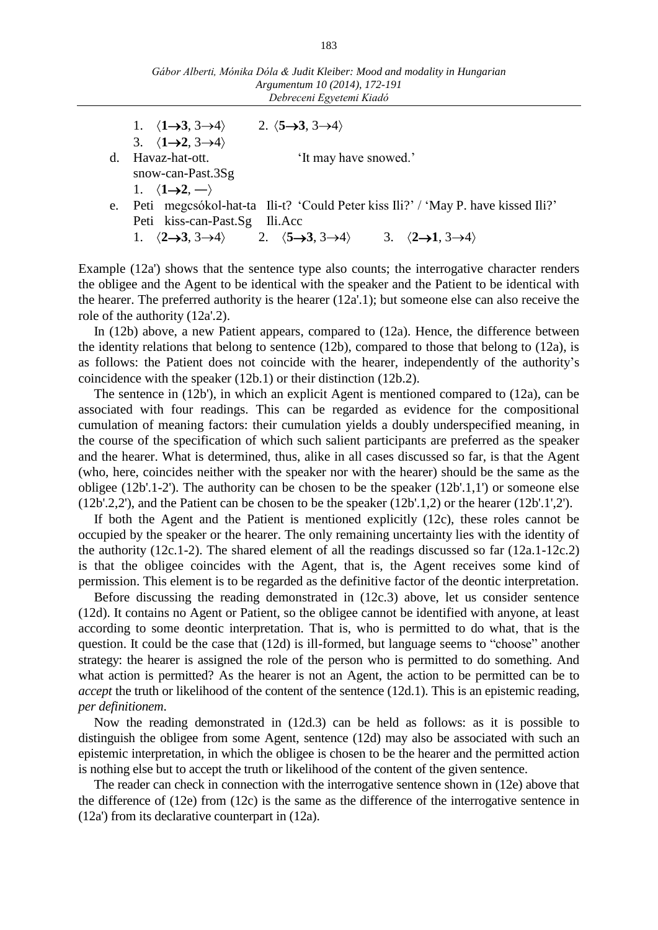|    | 1. $\langle 1\rightarrow 3, 3\rightarrow 4 \rangle$ 2. $\langle 5\rightarrow 3, 3\rightarrow 4 \rangle$                                                     |
|----|-------------------------------------------------------------------------------------------------------------------------------------------------------------|
|    | 3. $\langle 1 \rightarrow 2, 3 \rightarrow 4 \rangle$                                                                                                       |
| d. | 'It may have snowed.'<br>Havaz-hat-ott.                                                                                                                     |
|    | snow-can-Past. $3Sg$                                                                                                                                        |
|    | 1. $\langle 1 \rightarrow 2, - \rangle$                                                                                                                     |
|    | e. Peti megcsókol-hat-ta Ili-t? 'Could Peter kiss Ili?' / 'May P. have kissed Ili?'                                                                         |
|    | Peti kiss-can-Past.Sg Ili.Acc                                                                                                                               |
|    | 1. $\langle 2\rightarrow 3, 3\rightarrow 4 \rangle$ 2. $\langle 5\rightarrow 3, 3\rightarrow 4 \rangle$ 3. $\langle 2\rightarrow 1, 3\rightarrow 4 \rangle$ |

Example (12a') shows that the sentence type also counts; the interrogative character renders the obligee and the Agent to be identical with the speaker and the Patient to be identical with the hearer. The preferred authority is the hearer (12a'.1); but someone else can also receive the role of the authority (12a'.2).

In (12b) above, a new Patient appears, compared to (12a). Hence, the difference between the identity relations that belong to sentence (12b), compared to those that belong to (12a), is as follows: the Patient does not coincide with the hearer, independently of the authority's coincidence with the speaker (12b.1) or their distinction (12b.2).

The sentence in (12b'), in which an explicit Agent is mentioned compared to (12a), can be associated with four readings. This can be regarded as evidence for the compositional cumulation of meaning factors: their cumulation yields a doubly underspecified meaning, in the course of the specification of which such salient participants are preferred as the speaker and the hearer. What is determined, thus, alike in all cases discussed so far, is that the Agent (who, here, coincides neither with the speaker nor with the hearer) should be the same as the obligee (12b'.1-2'). The authority can be chosen to be the speaker (12b'.1,1') or someone else (12b'.2,2'), and the Patient can be chosen to be the speaker (12b'.1,2) or the hearer (12b'.1',2').

If both the Agent and the Patient is mentioned explicitly (12c), these roles cannot be occupied by the speaker or the hearer. The only remaining uncertainty lies with the identity of the authority (12c.1-2). The shared element of all the readings discussed so far (12a.1-12c.2) is that the obligee coincides with the Agent, that is, the Agent receives some kind of permission. This element is to be regarded as the definitive factor of the deontic interpretation.

Before discussing the reading demonstrated in (12c.3) above, let us consider sentence (12d). It contains no Agent or Patient, so the obligee cannot be identified with anyone, at least according to some deontic interpretation. That is, who is permitted to do what, that is the question. It could be the case that (12d) is ill-formed, but language seems to "choose" another strategy: the hearer is assigned the role of the person who is permitted to do something. And what action is permitted? As the hearer is not an Agent, the action to be permitted can be to *accept* the truth or likelihood of the content of the sentence (12d.1). This is an epistemic reading, *per definitionem*.

Now the reading demonstrated in (12d.3) can be held as follows: as it is possible to distinguish the obligee from some Agent, sentence (12d) may also be associated with such an epistemic interpretation, in which the obligee is chosen to be the hearer and the permitted action is nothing else but to accept the truth or likelihood of the content of the given sentence.

The reader can check in connection with the interrogative sentence shown in (12e) above that the difference of (12e) from (12c) is the same as the difference of the interrogative sentence in (12a') from its declarative counterpart in (12a).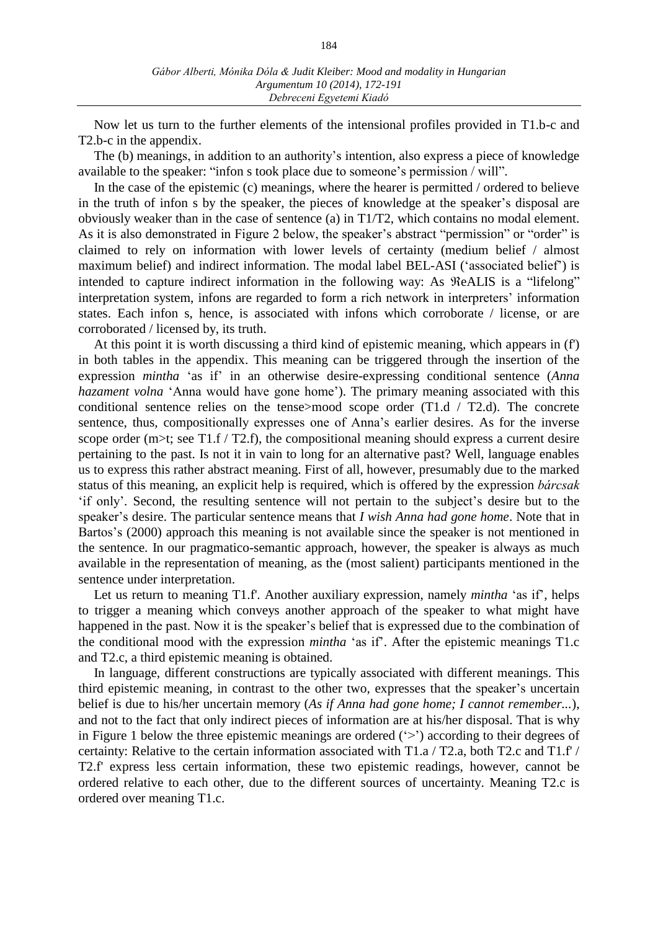Now let us turn to the further elements of the intensional profiles provided in T1.b-c and T2.b-c in the appendix.

The (b) meanings, in addition to an authority's intention, also express a piece of knowledge available to the speaker: "infon s took place due to someone's permission / will".

In the case of the epistemic (c) meanings, where the hearer is permitted / ordered to believe in the truth of infon s by the speaker, the pieces of knowledge at the speaker's disposal are obviously weaker than in the case of sentence (a) in T1/T2, which contains no modal element. As it is also demonstrated in Figure 2 below, the speaker's abstract "permission" or "order" is claimed to rely on information with lower levels of certainty (medium belief / almost maximum belief) and indirect information. The modal label BEL-ASI ('associated belief') is intended to capture indirect information in the following way: As  $\Re$ eALIS is a "lifelong" interpretation system, infons are regarded to form a rich network in interpreters' information states. Each infon s, hence, is associated with infons which corroborate / license, or are corroborated / licensed by, its truth.

At this point it is worth discussing a third kind of epistemic meaning, which appears in (f') in both tables in the appendix. This meaning can be triggered through the insertion of the expression *mintha* 'as if' in an otherwise desire-expressing conditional sentence (*Anna hazament volna* 'Anna would have gone home'). The primary meaning associated with this conditional sentence relies on the tenses-mood scope order  $(T1.d / T2.d)$ . The concrete sentence, thus, compositionally expresses one of Anna's earlier desires. As for the inverse scope order ( $m$ )-t; see T1.f / T2.f), the compositional meaning should express a current desire pertaining to the past. Is not it in vain to long for an alternative past? Well, language enables us to express this rather abstract meaning. First of all, however, presumably due to the marked status of this meaning, an explicit help is required, which is offered by the expression *bárcsak* 'if only'. Second, the resulting sentence will not pertain to the subject's desire but to the speaker's desire. The particular sentence means that *I wish Anna had gone home*. Note that in Bartos's (2000) approach this meaning is not available since the speaker is not mentioned in the sentence. In our pragmatico-semantic approach, however, the speaker is always as much available in the representation of meaning, as the (most salient) participants mentioned in the sentence under interpretation.

Let us return to meaning T1.f'. Another auxiliary expression, namely *mintha* 'as if', helps to trigger a meaning which conveys another approach of the speaker to what might have happened in the past. Now it is the speaker's belief that is expressed due to the combination of the conditional mood with the expression *mintha* 'as if'. After the epistemic meanings T1.c and T2.c, a third epistemic meaning is obtained.

In language, different constructions are typically associated with different meanings. This third epistemic meaning, in contrast to the other two, expresses that the speaker's uncertain belief is due to his/her uncertain memory (*As if Anna had gone home; I cannot remember...*), and not to the fact that only indirect pieces of information are at his/her disposal. That is why in Figure 1 below the three epistemic meanings are ordered ('>') according to their degrees of certainty: Relative to the certain information associated with T1.a / T2.a, both T2.c and T1.f' / T2.f' express less certain information, these two epistemic readings, however, cannot be ordered relative to each other, due to the different sources of uncertainty. Meaning T2.c is ordered over meaning T1.c.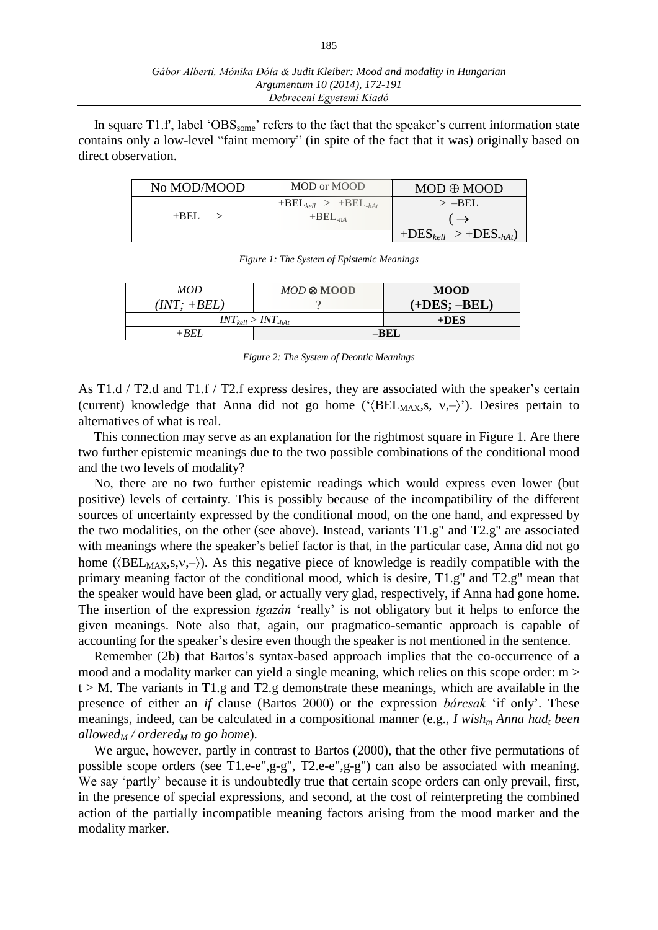In square T1.f', label ' $OBS<sub>some</sub>$ ' refers to the fact that the speaker's current information state contains only a low-level "faint memory" (in spite of the fact that it was) originally based on direct observation.

| No MOD/MOOD | MOD or MOOD                | $MOD \oplus MOOD$          |
|-------------|----------------------------|----------------------------|
|             | $+BEL_{kell} > +BEL_{hAt}$ | $>$ -BEL                   |
| $+$ BEL     | $+BEL_{-nA}$               | $\rightarrow$              |
|             |                            | $+DES_{kell} > +DES_{hAt}$ |

*Figure 1: The System of Epistemic Meanings*

| <b>MOD</b>                              | $MOD \otimes MOOD$ | <b>MOOD</b>    |
|-----------------------------------------|--------------------|----------------|
| $(INT; +BEL)$                           |                    | $(+DES; -BEL)$ |
| $INT_{\text{well}} > INT_{\text{-hAt}}$ | $+DES$             |                |
| $+$ REL                                 | –BEL               |                |
|                                         |                    |                |

*Figure 2: The System of Deontic Meanings*

As T1.d / T2.d and T1.f / T2.f express desires, they are associated with the speaker's certain (current) knowledge that Anna did not go home (' $\langle \text{BEL}_{MAX}, s, v, - \rangle$ '). Desires pertain to alternatives of what is real.

This connection may serve as an explanation for the rightmost square in Figure 1. Are there two further epistemic meanings due to the two possible combinations of the conditional mood and the two levels of modality?

No, there are no two further epistemic readings which would express even lower (but positive) levels of certainty. This is possibly because of the incompatibility of the different sources of uncertainty expressed by the conditional mood, on the one hand, and expressed by the two modalities, on the other (see above). Instead, variants T1.g" and T2.g" are associated with meanings where the speaker's belief factor is that, in the particular case, Anna did not go home ( $\langle \text{BEL}_{MAX,S,V,-} \rangle$ ). As this negative piece of knowledge is readily compatible with the primary meaning factor of the conditional mood, which is desire, T1.g" and T2.g" mean that the speaker would have been glad, or actually very glad, respectively, if Anna had gone home. The insertion of the expression *igazán* 'really' is not obligatory but it helps to enforce the given meanings. Note also that, again, our pragmatico-semantic approach is capable of accounting for the speaker's desire even though the speaker is not mentioned in the sentence.

Remember (2b) that Bartos's syntax-based approach implies that the co-occurrence of a mood and a modality marker can yield a single meaning, which relies on this scope order: m >  $t > M$ . The variants in T1.g and T2.g demonstrate these meanings, which are available in the presence of either an *if* clause (Bartos 2000) or the expression *bárcsak* 'if only'. These meanings, indeed, can be calculated in a compositional manner (e.g., *I wish<sup>m</sup> Anna had<sup>t</sup> been allowed<sup>M</sup> / ordered<sup>M</sup> to go home*).

We argue, however, partly in contrast to Bartos (2000), that the other five permutations of possible scope orders (see T1.e-e",g-g", T2.e-e",g-g") can also be associated with meaning. We say 'partly' because it is undoubtedly true that certain scope orders can only prevail, first, in the presence of special expressions, and second, at the cost of reinterpreting the combined action of the partially incompatible meaning factors arising from the mood marker and the modality marker.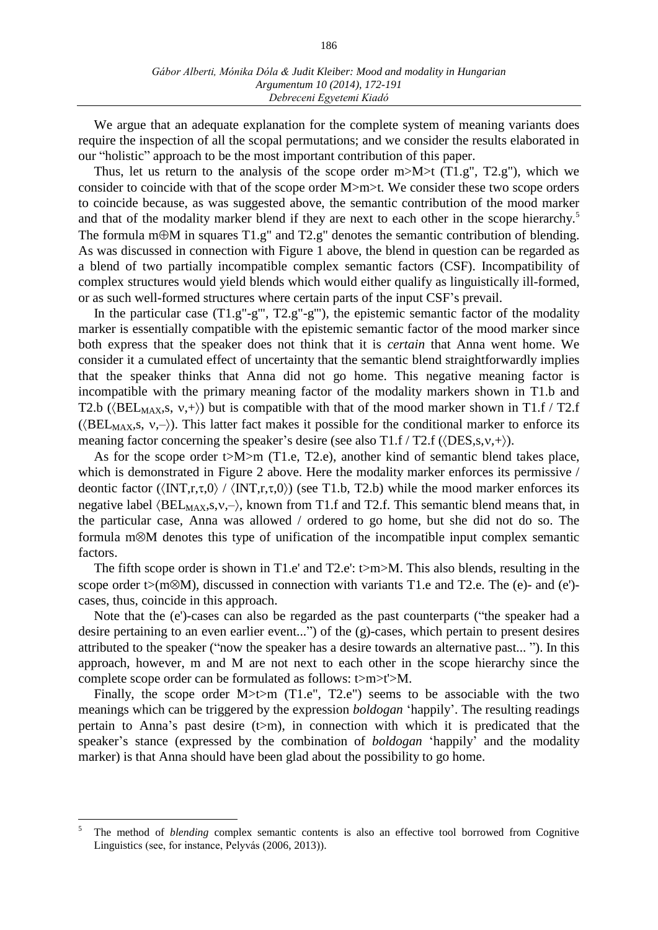We argue that an adequate explanation for the complete system of meaning variants does require the inspection of all the scopal permutations; and we consider the results elaborated in our "holistic" approach to be the most important contribution of this paper.

Thus, let us return to the analysis of the scope order m $>M$  (T1.g", T2.g"), which we consider to coincide with that of the scope order M>m>t. We consider these two scope orders to coincide because, as was suggested above, the semantic contribution of the mood marker and that of the modality marker blend if they are next to each other in the scope hierarchy.<sup>5</sup> The formula m $\oplus$ M in squares T1.g" and T2.g" denotes the semantic contribution of blending. As was discussed in connection with Figure 1 above, the blend in question can be regarded as a blend of two partially incompatible complex semantic factors (CSF). Incompatibility of complex structures would yield blends which would either qualify as linguistically ill-formed, or as such well-formed structures where certain parts of the input CSF's prevail.

In the particular case  $(T1.g''-g''', T2.g''-g''')$ , the epistemic semantic factor of the modality marker is essentially compatible with the epistemic semantic factor of the mood marker since both express that the speaker does not think that it is *certain* that Anna went home. We consider it a cumulated effect of uncertainty that the semantic blend straightforwardly implies that the speaker thinks that Anna did not go home. This negative meaning factor is incompatible with the primary meaning factor of the modality markers shown in T1.b and T2.b ( $\langle \text{BEL}_{MAX}, s, v, + \rangle$ ) but is compatible with that of the mood marker shown in T1.f / T2.f ( $\langle \text{BEL}_{MAX}, s, v, - \rangle$ ). This latter fact makes it possible for the conditional marker to enforce its meaning factor concerning the speaker's desire (see also  $T1.f/T2.f$  ( $\langle$ DES,s,v,+ $\rangle$ ).

As for the scope order t>M>m (T1.e, T2.e), another kind of semantic blend takes place, which is demonstrated in Figure 2 above. Here the modality marker enforces its permissive / deontic factor ( $\langle \text{INT}, r, \tau, 0 \rangle$  /  $\langle \text{INT}, r, \tau, 0 \rangle$ ) (see T1.b, T2.b) while the mood marker enforces its negative label  $\langle \text{BEL}_{MAX}, s, v, - \rangle$ , known from T1.f and T2.f. This semantic blend means that, in the particular case, Anna was allowed / ordered to go home, but she did not do so. The formula m $M$  denotes this type of unification of the incompatible input complex semantic factors.

The fifth scope order is shown in T1.e' and T2.e':  $\triangleright$ m $\gt M$ . This also blends, resulting in the scope order  $t>(m\otimes M)$ , discussed in connection with variants T1.e and T2.e. The (e)- and (e')cases, thus, coincide in this approach.

Note that the (e')-cases can also be regarded as the past counterparts ("the speaker had a desire pertaining to an even earlier event...") of the (g)-cases, which pertain to present desires attributed to the speaker ("now the speaker has a desire towards an alternative past... "). In this approach, however, m and M are not next to each other in the scope hierarchy since the complete scope order can be formulated as follows: t>m>t'>M.

Finally, the scope order M>t>m (T1.e", T2.e") seems to be associable with the two meanings which can be triggered by the expression *boldogan* 'happily'. The resulting readings pertain to Anna's past desire  $(t>m)$ , in connection with which it is predicated that the speaker's stance (expressed by the combination of *boldogan* 'happily' and the modality marker) is that Anna should have been glad about the possibility to go home.

 $\overline{a}$ 

<sup>5</sup> The method of *blending* complex semantic contents is also an effective tool borrowed from Cognitive Linguistics (see, for instance, Pelyvás (2006, 2013)).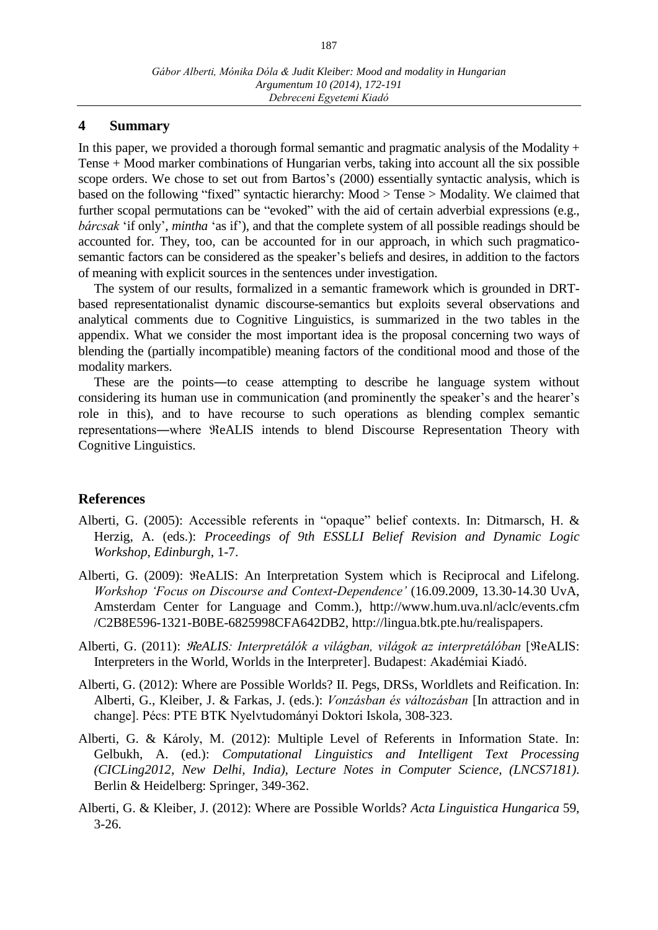## **4 Summary**

In this paper, we provided a thorough formal semantic and pragmatic analysis of the Modality  $+$ Tense + Mood marker combinations of Hungarian verbs, taking into account all the six possible scope orders. We chose to set out from Bartos's (2000) essentially syntactic analysis, which is based on the following "fixed" syntactic hierarchy: Mood > Tense > Modality. We claimed that further scopal permutations can be "evoked" with the aid of certain adverbial expressions (e.g., *bárcsak* 'if only', *mintha* 'as if'), and that the complete system of all possible readings should be accounted for. They, too, can be accounted for in our approach, in which such pragmaticosemantic factors can be considered as the speaker's beliefs and desires, in addition to the factors of meaning with explicit sources in the sentences under investigation.

The system of our results, formalized in a semantic framework which is grounded in DRTbased representationalist dynamic discourse-semantics but exploits several observations and analytical comments due to Cognitive Linguistics, is summarized in the two tables in the appendix. What we consider the most important idea is the proposal concerning two ways of blending the (partially incompatible) meaning factors of the conditional mood and those of the modality markers.

These are the points—to cease attempting to describe he language system without considering its human use in communication (and prominently the speaker's and the hearer's role in this), and to have recourse to such operations as blending complex semantic representations—where  $ReALIS$  intends to blend Discourse Representation Theory with Cognitive Linguistics.

# **References**

- Alberti, G. (2005): Accessible referents in "opaque" belief contexts. In: Ditmarsch, H. & Herzig, A. (eds.): *Proceedings of 9th ESSLLI Belief Revision and Dynamic Logic Workshop, Edinburgh*, 1-7.
- Alberti, G. (2009): ReALIS: An Interpretation System which is Reciprocal and Lifelong. *Workshop 'Focus on Discourse and Context-Dependence'* (16.09.2009, 13.30-14.30 UvA, Amsterdam Center for Language and Comm.), http://www.hum.uva.nl/aclc/events.cfm /C2B8E596-1321-B0BE-6825998CFA642DB2, http://lingua.btk.pte.hu/realispapers.
- Alberti, G. (2011): *ReALIS: Interpretálók a világban, világok az interpretálóban* [ReALIS: Interpreters in the World, Worlds in the Interpreter]. Budapest: Akadémiai Kiadó.
- Alberti, G. (2012): Where are Possible Worlds? II. Pegs, DRSs, Worldlets and Reification. In: Alberti, G., Kleiber, J. & Farkas, J. (eds.): *Vonzásban és változásban* [In attraction and in change]. Pécs: PTE BTK Nyelvtudományi Doktori Iskola, 308-323.
- Alberti, G. & Károly, M. (2012): Multiple Level of Referents in Information State. In: Gelbukh, A. (ed.): *Computational Linguistics and Intelligent Text Processing (CICLing2012, New Delhi, India), Lecture Notes in Computer Science, (LNCS7181)*. Berlin & Heidelberg: Springer, 349-362.
- Alberti, G. & Kleiber, J. (2012): Where are Possible Worlds? *Acta Linguistica Hungarica* 59, 3-26.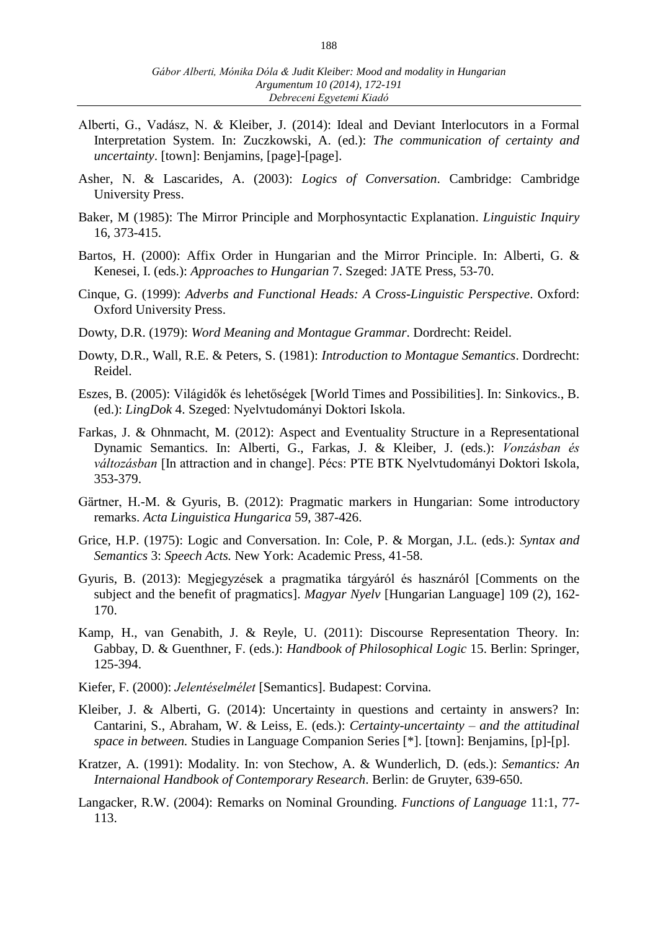- Alberti, G., Vadász, N. & Kleiber, J. (2014): Ideal and Deviant Interlocutors in a Formal Interpretation System. In: Zuczkowski, A. (ed.): *The communication of certainty and uncertainty*. [town]: Benjamins, [page]-[page].
- Asher, N. & Lascarides, A. (2003): *Logics of Conversation*. Cambridge: Cambridge University Press.
- Baker, M (1985): The Mirror Principle and Morphosyntactic Explanation. *Linguistic Inquiry* 16, 373-415.
- Bartos, H. (2000): Affix Order in Hungarian and the Mirror Principle. In: Alberti, G. & Kenesei, I. (eds.): *Approaches to Hungarian* 7. Szeged: JATE Press, 53-70.
- Cinque, G. (1999): *Adverbs and Functional Heads: A Cross-Linguistic Perspective*. Oxford: Oxford University Press.
- Dowty, D.R. (1979): *Word Meaning and Montague Grammar*. Dordrecht: Reidel.
- Dowty, D.R., Wall, R.E. & Peters, S. (1981): *Introduction to Montague Semantics*. Dordrecht: Reidel.
- Eszes, B. (2005): Világidők és lehetőségek [World Times and Possibilities]. In: Sinkovics., B. (ed.): *LingDok* 4. Szeged: Nyelvtudományi Doktori Iskola.
- Farkas, J. & Ohnmacht, M. (2012): Aspect and Eventuality Structure in a Representational Dynamic Semantics. In: Alberti, G., Farkas, J. & Kleiber, J. (eds.): *Vonzásban és változásban* [In attraction and in change]. Pécs: PTE BTK Nyelvtudományi Doktori Iskola, 353-379.
- Gärtner, H.-M. & Gyuris, B. (2012): Pragmatic markers in Hungarian: Some introductory remarks. *Acta Linguistica Hungarica* 59, 387-426.
- Grice, H.P. (1975): Logic and Conversation. In: Cole, P. & Morgan, J.L. (eds.): *Syntax and Semantics* 3: *Speech Acts.* New York: Academic Press, 41-58.
- Gyuris, B. (2013): Megjegyzések a pragmatika tárgyáról és hasznáról [Comments on the subject and the benefit of pragmatics]. *Magyar Nyelv* [Hungarian Language] 109 (2), 162- 170.
- Kamp, H., van Genabith, J. & Reyle, U. (2011): Discourse Representation Theory. In: Gabbay, D. & Guenthner, F. (eds.): *Handbook of Philosophical Logic* 15. Berlin: Springer, 125-394.
- Kiefer, F. (2000): *Jelentéselmélet* [Semantics]. Budapest: Corvina.
- Kleiber, J. & Alberti, G. (2014): Uncertainty in questions and certainty in answers? In: Cantarini, S., Abraham, W. & Leiss, E. (eds.): *Certainty-uncertainty – and the attitudinal space in between.* Studies in Language Companion Series [\*]. [town]: Benjamins, [p]-[p].
- Kratzer, A. (1991): Modality. In: von Stechow, A. & Wunderlich, D. (eds.): *Semantics: An Internaional Handbook of Contemporary Research*. Berlin: de Gruyter, 639-650.
- Langacker, R.W. (2004): Remarks on Nominal Grounding. *Functions of Language* 11:1, 77- 113.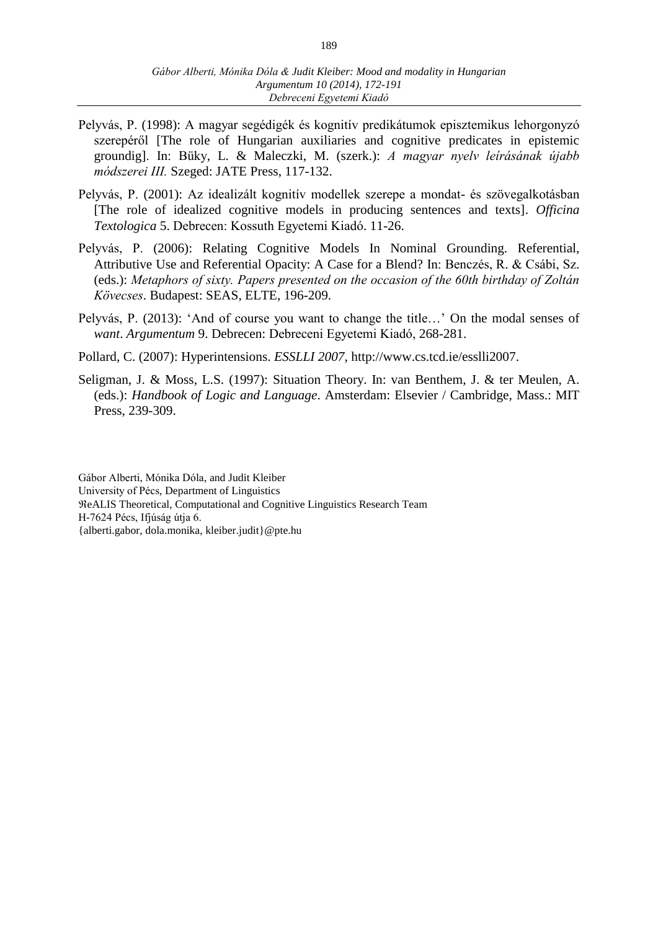- Pelyvás, P. (1998): A magyar segédigék és kognitív predikátumok episztemikus lehorgonyzó szerepéről [The role of Hungarian auxiliaries and cognitive predicates in epistemic groundig]. In: Büky, L. & Maleczki, M. (szerk.): *A magyar nyelv leírásának újabb módszerei III.* Szeged: JATE Press, 117-132.
- Pelyvás, P. (2001): Az idealizált kognitív modellek szerepe a mondat- és szövegalkotásban [The role of idealized cognitive models in producing sentences and texts]. *Officina Textologica* 5. Debrecen: Kossuth Egyetemi Kiadó. 11-26.
- Pelyvás, P. (2006): Relating Cognitive Models In Nominal Grounding. Referential, Attributive Use and Referential Opacity: A Case for a Blend? In: Benczés, R. & Csábi, Sz. (eds.): *Metaphors of sixty. Papers presented on the occasion of the 60th birthday of Zoltán Kövecses*. Budapest: SEAS, ELTE, 196-209.
- Pelyvás, P. (2013): 'And of course you want to change the title…' On the modal senses of *want*. *Argumentum* 9. Debrecen: Debreceni Egyetemi Kiadó, 268-281.
- Pollard, C. (2007): Hyperintensions. *ESSLLI 2007*, http://www.cs.tcd.ie/esslli2007.
- Seligman, J. & Moss, L.S. (1997): Situation Theory. In: van Benthem, J. & ter Meulen, A. (eds.): *Handbook of Logic and Language*. Amsterdam: Elsevier / Cambridge, Mass.: MIT Press, 239-309.

Gábor Alberti, Mónika Dóla, and Judit Kleiber University of Pécs, Department of Linguistics eALIS Theoretical, Computational and Cognitive Linguistics Research Team H-7624 Pécs, Ifjúság útja 6. {alberti.gabor, dola.monika, kleiber.judit}@pte.hu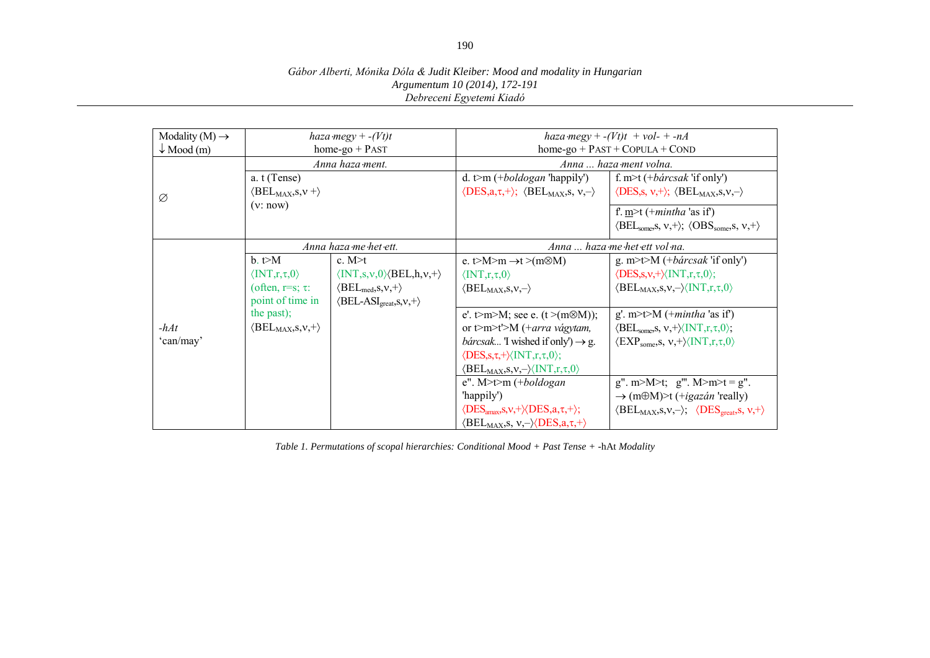#### *Gábor Alberti, Mónika Dóla & Judit Kleiber: Mood and modality in Hungarian Argumentum 10 (2014), 172-191 Debreceni Egyetemi Kiadó*

| Modality $(M) \rightarrow$ | haza megy + $-(Vt)t$                                                                                       |                                                                                                                                                                                                | haza megy + $-(Vt)t$ + vol- + -nA                                                                                                                                                                                                                                                     |                                                                                                                                                                                                           |
|----------------------------|------------------------------------------------------------------------------------------------------------|------------------------------------------------------------------------------------------------------------------------------------------------------------------------------------------------|---------------------------------------------------------------------------------------------------------------------------------------------------------------------------------------------------------------------------------------------------------------------------------------|-----------------------------------------------------------------------------------------------------------------------------------------------------------------------------------------------------------|
| $\downarrow$ Mood (m)      | home-go $+$ PAST                                                                                           |                                                                                                                                                                                                | $home-go + PAST + COPULA + COND$                                                                                                                                                                                                                                                      |                                                                                                                                                                                                           |
|                            | Anna haza ment.                                                                                            |                                                                                                                                                                                                | Anna  haza ment volna.                                                                                                                                                                                                                                                                |                                                                                                                                                                                                           |
| Ø                          | a. t (Tense)<br>$\langle \text{BEL}_{\text{MAX}} , S, v + \rangle$                                         |                                                                                                                                                                                                | d. t>m $(+boldogan$ 'happily')<br>$\langle \text{DES}, a, \tau, + \rangle$ ; $\langle \text{BEL}_{\text{MAX}}$ , s, $v, - \rangle$                                                                                                                                                    | f. m>t (+ <i>bårcsak</i> 'if only')<br>$\langle$ DES,s, v,+ $\rangle$ ; $\langle$ BEL <sub>MAX</sub> ,s,v,- $\rangle$                                                                                     |
|                            | (v:now)                                                                                                    |                                                                                                                                                                                                |                                                                                                                                                                                                                                                                                       | f. $m$ + (+ <i>mintha</i> 'as if)<br>$\langle \text{BEL}_{\text{some}} S, v, + \rangle$ ; $\langle \text{OBS}_{\text{some}} S, v, + \rangle$                                                              |
| Anna haza me het ett.      |                                                                                                            |                                                                                                                                                                                                | Anna  haza me het ett vol na.                                                                                                                                                                                                                                                         |                                                                                                                                                                                                           |
|                            | $b. \neq M$<br>$\langle \text{INT}, \tau, \tau, 0 \rangle$<br>(often, $r=s$ ; $\tau$ :<br>point of time in | c. $M \geq t$<br>$\langle$ INT,s,v,0 $\rangle$ $\langle$ BEL,h,v,+ $\rangle$<br>$\langle \text{BEL}_{\text{med}}, s, v, + \rangle$<br>$\langle \text{BEL-ASI}_{\text{great}}, s, v, + \rangle$ | e. t>M>m $\rightarrow$ t >(m\&M)<br>$\langle \text{INT}, \tau, \tau, 0 \rangle$<br>$\langle \text{BEL}_{MAX}, s, v, - \rangle$                                                                                                                                                        | g. m>t>M $(+b\acute{a}rcsak$ 'if only')<br>$\langle DES, s, v, + \rangle \langle INT, r, \tau, 0 \rangle;$<br>$\langle \text{BEL}_{MAX}, s, v, - \rangle \langle \text{INT}, r, \tau, 0 \rangle$          |
| $-hAt$<br>'can/may'        | the past);<br>$\langle \text{BEL}_{\text{MAX}} , S , v , + \rangle$                                        |                                                                                                                                                                                                | e'. t>m>M; see e. (t >(m\\mathe M));<br>or t>m>t'>M (+arra vágytam,<br><i>bárcsak</i> T wished if only') $\rightarrow$ g.<br>$\langle DES, s, \tau, + \rangle \langle INT, r, \tau, 0 \rangle;$<br>$\langle \text{BEL}_{MAX}, s, v, - \rangle \langle \text{INT}, r, \tau, 0 \rangle$ | g'. m>t>M $(+mintha$ 'as if')<br>$\langle \text{BEL}_{\text{some}}$ , s, $v, + \rangle \langle \text{INT}, r, \tau, 0 \rangle$ ;<br>$\langle EXP_{some}, s, v, + \rangle \langle INT, r, \tau, 0 \rangle$ |
|                            |                                                                                                            |                                                                                                                                                                                                | $e''$ . M>t>m (+boldogan<br>'happily')<br>$\langle DES_{\text{amax}}, S, V, + \rangle \langle DES, a, \tau, + \rangle;$<br>$\langle \text{BEL}_{\text{MAX}}$ , s, $v, - \rangle \langle \text{DES}, a, \tau, + \rangle$                                                               | $g''$ . m>M>t; $g'''$ . M>m>t = g".<br>$\rightarrow$ (m $\oplus$ M)>t (+ <i>igazán</i> 'really)<br>$\langle \text{BEL}_{MAX}, S, V, - \rangle$ ; $\langle \text{DES}_{\text{great}}, S, V, + \rangle$     |

*Table 1. Permutations of scopal hierarchies: Conditional Mood + Past Tense + -*hAt *Modality*